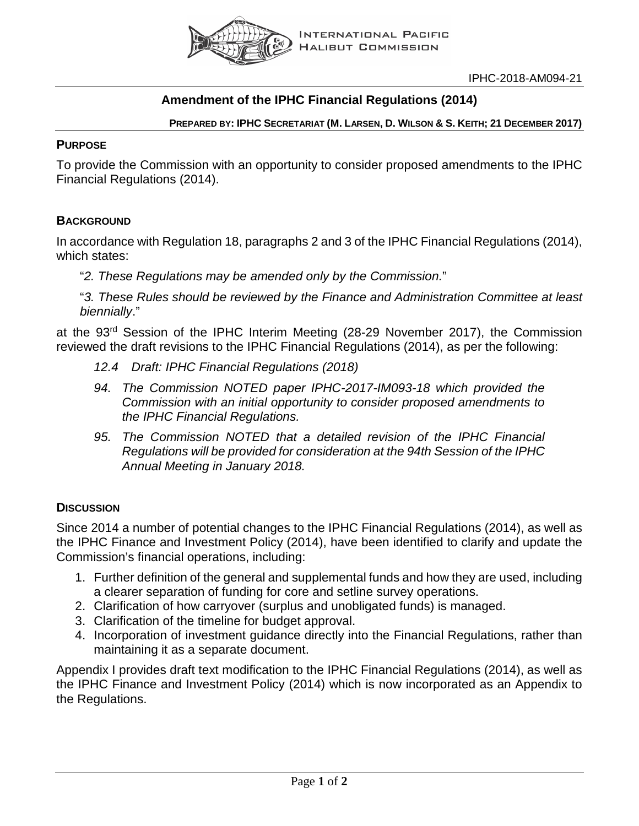

### **Amendment of the IPHC Financial Regulations (2014)**

**PREPARED BY: IPHC SECRETARIAT (M. LARSEN, D. WILSON & S. KEITH; 21 DECEMBER 2017)**

#### **PURPOSE**

To provide the Commission with an opportunity to consider proposed amendments to the IPHC Financial Regulations (2014).

### **BACKGROUND**

In accordance with Regulation 18, paragraphs 2 and 3 of the IPHC Financial Regulations (2014), which states:

"*2. These Regulations may be amended only by the Commission.*"

"*3. These Rules should be reviewed by the Finance and Administration Committee at least biennially*."

at the 93rd Session of the IPHC Interim Meeting (28-29 November 2017), the Commission reviewed the draft revisions to the IPHC Financial Regulations (2014), as per the following:

- *12.4 Draft: IPHC Financial Regulations (2018)*
- *94. The Commission NOTED paper IPHC-2017-IM093-18 which provided the Commission with an initial opportunity to consider proposed amendments to the IPHC Financial Regulations.*
- *95. The Commission NOTED that a detailed revision of the IPHC Financial Regulations will be provided for consideration at the 94th Session of the IPHC Annual Meeting in January 2018.*

### **DISCUSSION**

Since 2014 a number of potential changes to the IPHC Financial Regulations (2014), as well as the IPHC Finance and Investment Policy (2014), have been identified to clarify and update the Commission's financial operations, including:

- 1. Further definition of the general and supplemental funds and how they are used, including a clearer separation of funding for core and setline survey operations.
- 2. Clarification of how carryover (surplus and unobligated funds) is managed.
- 3. Clarification of the timeline for budget approval.
- 4. Incorporation of investment guidance directly into the Financial Regulations, rather than maintaining it as a separate document.

Appendix I provides draft text modification to the IPHC Financial Regulations (2014), as well as the IPHC Finance and Investment Policy (2014) which is now incorporated as an Appendix to the Regulations.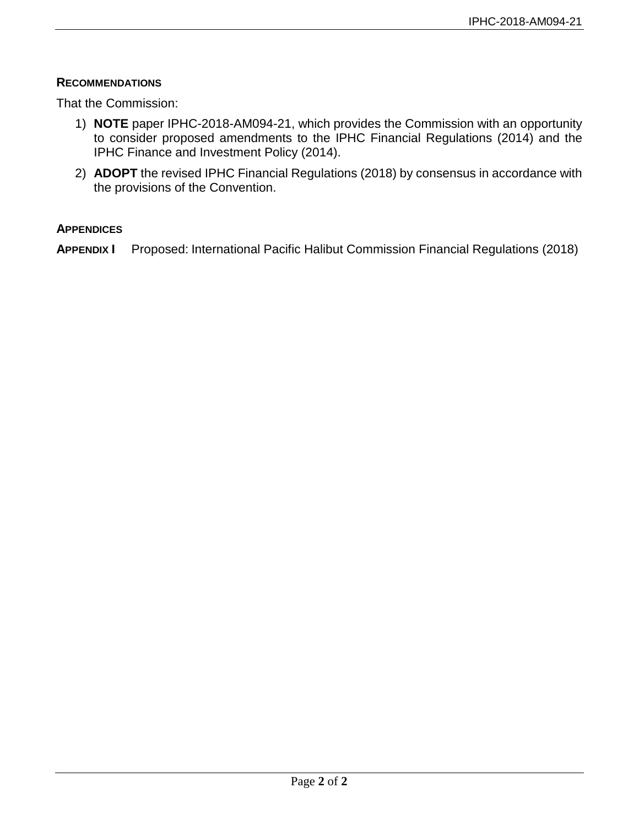#### **RECOMMENDATIONS**

That the Commission:

- 1) **NOTE** paper IPHC-2018-AM094-21, which provides the Commission with an opportunity to consider proposed amendments to the IPHC Financial Regulations (2014) and the IPHC Finance and Investment Policy (2014).
- 2) **ADOPT** the revised IPHC Financial Regulations (2018) by consensus in accordance with the provisions of the Convention.

#### **APPENDICES**

**APPENDIX I** Proposed: International Pacific Halibut Commission Financial Regulations (2018)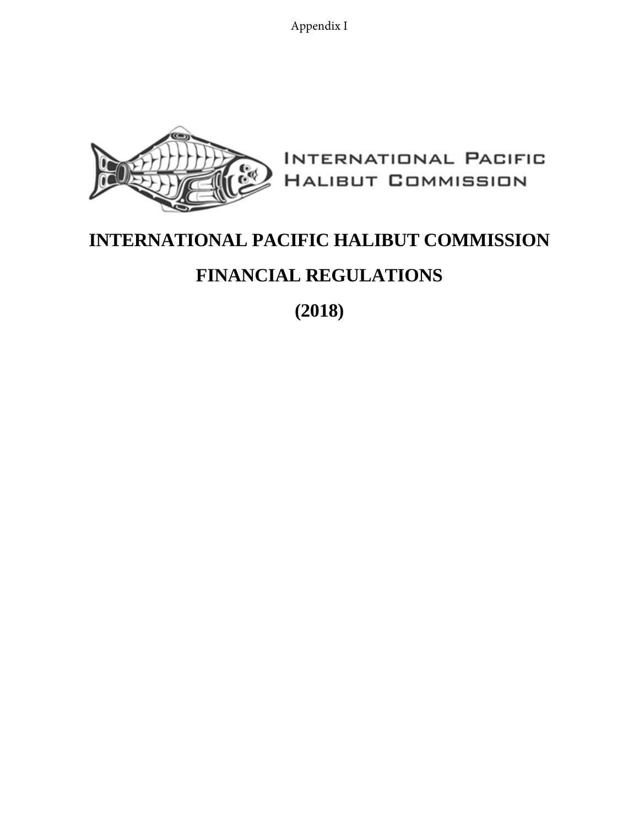Appendix I



# <span id="page-2-0"></span>**INTERNATIONAL PACIFIC HALIBUT COMMISSION**

## **FINANCIAL REGULATIONS**

**(2018)**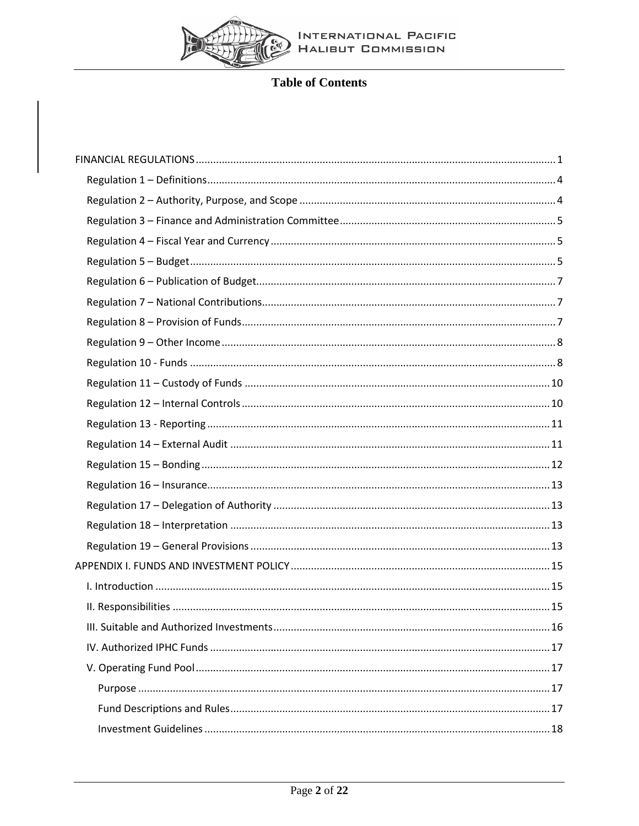

### **Table of Contents**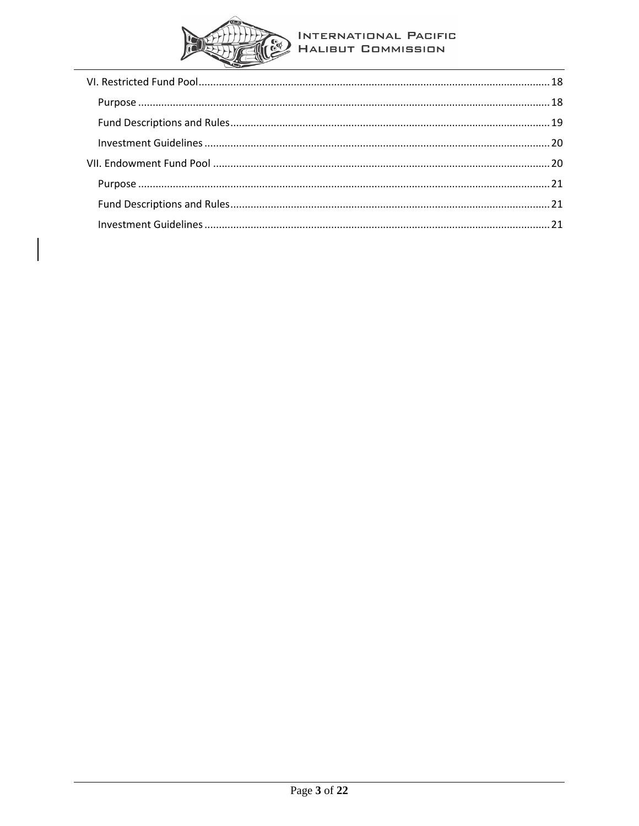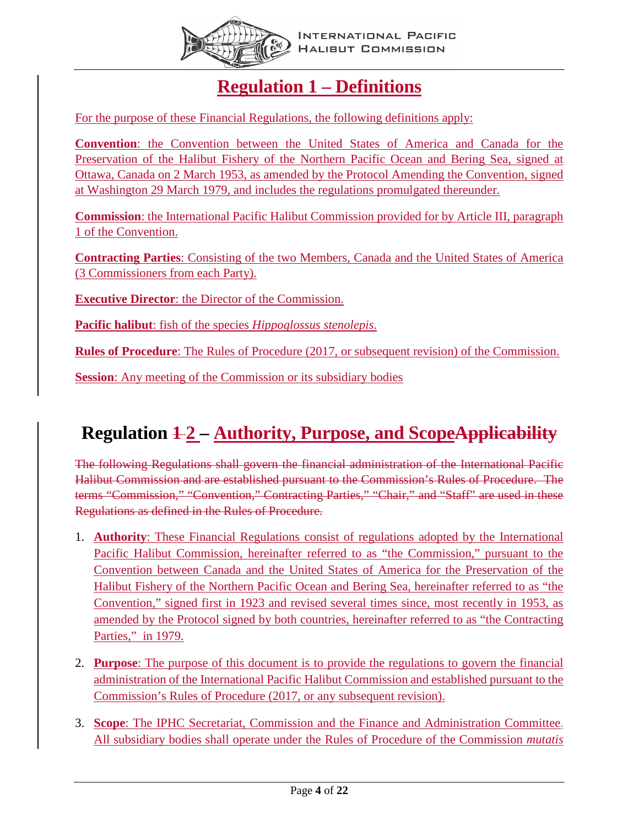

### **Regulation 1 – Definitions**

<span id="page-5-0"></span>For the purpose of these Financial Regulations, the following definitions apply:

**Convention**: the Convention between the United States of America and Canada for the Preservation of the Halibut Fishery of the Northern Pacific Ocean and Bering Sea, signed at Ottawa, Canada on 2 March 1953, as amended by the Protocol Amending the Convention, signed at Washington 29 March 1979, and includes the regulations promulgated thereunder.

**Commission**: the International Pacific Halibut Commission provided for by Article III, paragraph 1 of the Convention.

**Contracting Parties**: Consisting of the two Members, Canada and the United States of America (3 Commissioners from each Party).

**Executive Director**: the Director of the Commission.

**Pacific halibut**: fish of the species *Hippoglossus stenolepis*.

**Rules of Procedure**: The Rules of Procedure (2017, or subsequent revision) of the Commission.

**Session:** Any meeting of the Commission or its subsidiary bodies

# <span id="page-5-1"></span>**Regulation**  $\frac{12}{2}$  **– Authority, Purpose, and ScopeApplicability**

The following Regulations shall govern the financial administration of the International Pacific Halibut Commission and are established pursuant to the Commission's Rules of Procedure. The terms "Commission," "Convention," Contracting Parties," "Chair," and "Staff" are used in these Regulations as defined in the Rules of Procedure.

- 1. **Authority**: These Financial Regulations consist of regulations adopted by the International Pacific Halibut Commission, hereinafter referred to as "the Commission," pursuant to the Convention between Canada and the United States of America for the Preservation of the Halibut Fishery of the Northern Pacific Ocean and Bering Sea, hereinafter referred to as "the Convention," signed first in 1923 and revised several times since, most recently in 1953, as amended by the Protocol signed by both countries, hereinafter referred to as "the Contracting Parties," in 1979.
- 2. **Purpose**: The purpose of this document is to provide the regulations to govern the financial administration of the International Pacific Halibut Commission and established pursuant to the Commission's Rules of Procedure (2017, or any subsequent revision).
- 3. **Scope**: The IPHC Secretariat, Commission and the Finance and Administration Committee. All subsidiary bodies shall operate under the Rules of Procedure of the Commission *mutatis*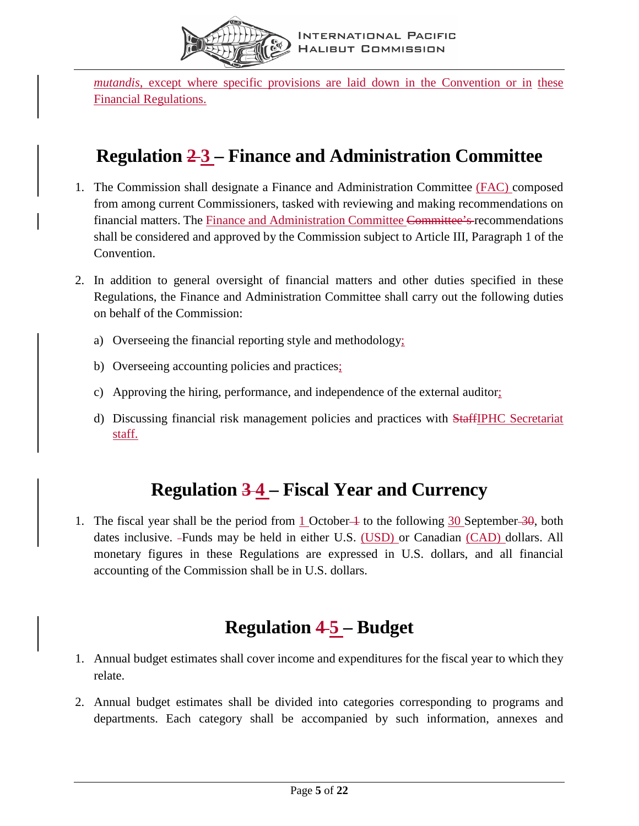

*mutandis*, except where specific provisions are laid down in the Convention or in these Financial Regulations.

### <span id="page-6-0"></span>**Regulation 2 3 – Finance and Administration Committee**

- 1. The Commission shall designate a Finance and Administration Committee (FAC) composed from among current Commissioners, tasked with reviewing and making recommendations on financial matters. The Finance and Administration Committee Committee's-recommendations shall be considered and approved by the Commission subject to Article III, Paragraph 1 of the Convention.
- 2. In addition to general oversight of financial matters and other duties specified in these Regulations, the Finance and Administration Committee shall carry out the following duties on behalf of the Commission:
	- a) Overseeing the financial reporting style and methodology;
	- b) Overseeing accounting policies and practices;
	- c) Approving the hiring, performance, and independence of the external auditor;
	- d) Discussing financial risk management policies and practices with **StaffIPHC** Secretariat staff.

### **Regulation 3 4 – Fiscal Year and Currency**

<span id="page-6-1"></span>1. The fiscal year shall be the period from 1 October  $\rightarrow$  to the following 30 September  $\rightarrow$  40, both dates inclusive. Funds may be held in either U.S. (USD) or Canadian (CAD) dollars. All monetary figures in these Regulations are expressed in U.S. dollars, and all financial accounting of the Commission shall be in U.S. dollars.

### **Regulation 4 5 – Budget**

- <span id="page-6-2"></span>1. Annual budget estimates shall cover income and expenditures for the fiscal year to which they relate.
- 2. Annual budget estimates shall be divided into categories corresponding to programs and departments. Each category shall be accompanied by such information, annexes and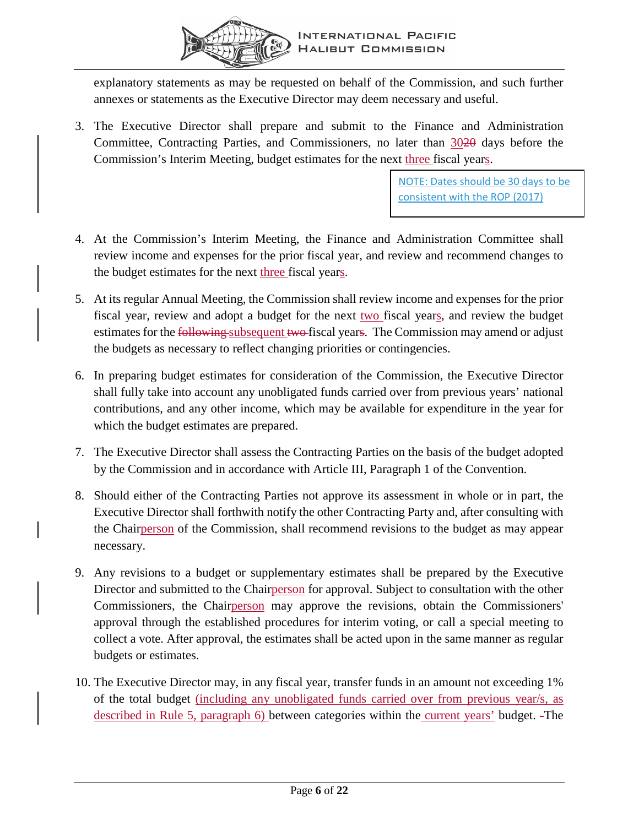

explanatory statements as may be requested on behalf of the Commission, and such further annexes or statements as the Executive Director may deem necessary and useful.

3. The Executive Director shall prepare and submit to the Finance and Administration Committee, Contracting Parties, and Commissioners, no later than 3020 days before the Commission's Interim Meeting, budget estimates for the next three fiscal years.

> NOTE: Dates should be 30 days to be consistent with the ROP (2017)

- 4. At the Commission's Interim Meeting, the Finance and Administration Committee shall review income and expenses for the prior fiscal year, and review and recommend changes to the budget estimates for the next three fiscal years.
- 5. At its regular Annual Meeting, the Commission shall review income and expenses for the prior fiscal year, review and adopt a budget for the next two fiscal years, and review the budget estimates for the following subsequent two fiscal years. The Commission may amend or adjust the budgets as necessary to reflect changing priorities or contingencies.
- 6. In preparing budget estimates for consideration of the Commission, the Executive Director shall fully take into account any unobligated funds carried over from previous years' national contributions, and any other income, which may be available for expenditure in the year for which the budget estimates are prepared.
- 7. The Executive Director shall assess the Contracting Parties on the basis of the budget adopted by the Commission and in accordance with Article III, Paragraph 1 of the Convention.
- 8. Should either of the Contracting Parties not approve its assessment in whole or in part, the Executive Director shall forthwith notify the other Contracting Party and, after consulting with the Chairperson of the Commission, shall recommend revisions to the budget as may appear necessary.
- 9. Any revisions to a budget or supplementary estimates shall be prepared by the Executive Director and submitted to the Chairperson for approval. Subject to consultation with the other Commissioners, the Chairperson may approve the revisions, obtain the Commissioners' approval through the established procedures for interim voting, or call a special meeting to collect a vote. After approval, the estimates shall be acted upon in the same manner as regular budgets or estimates.
- 10. The Executive Director may, in any fiscal year, transfer funds in an amount not exceeding 1% of the total budget (including any unobligated funds carried over from previous year/s, as described in Rule 5, paragraph 6) between categories within the current years' budget. The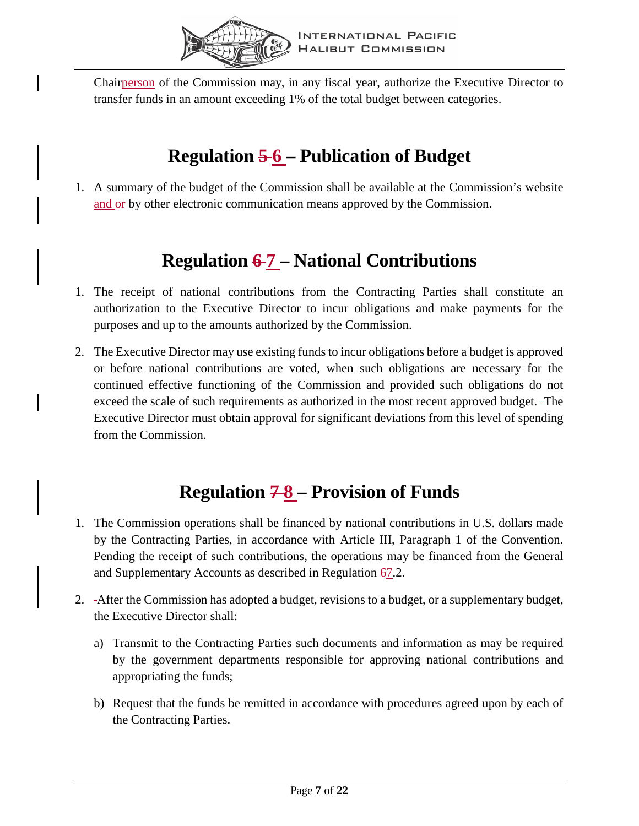

Chairperson of the Commission may, in any fiscal year, authorize the Executive Director to transfer funds in an amount exceeding 1% of the total budget between categories.

# **Regulation 5 6 – Publication of Budget**

<span id="page-8-0"></span>1. A summary of the budget of the Commission shall be available at the Commission's website and  $\theta$  by other electronic communication means approved by the Commission.

# **Regulation 6 7 – National Contributions**

- <span id="page-8-1"></span>1. The receipt of national contributions from the Contracting Parties shall constitute an authorization to the Executive Director to incur obligations and make payments for the purposes and up to the amounts authorized by the Commission.
- 2. The Executive Director may use existing funds to incur obligations before a budget is approved or before national contributions are voted, when such obligations are necessary for the continued effective functioning of the Commission and provided such obligations do not exceed the scale of such requirements as authorized in the most recent approved budget. The Executive Director must obtain approval for significant deviations from this level of spending from the Commission.

# **Regulation 7 8 – Provision of Funds**

- <span id="page-8-2"></span>1. The Commission operations shall be financed by national contributions in U.S. dollars made by the Contracting Parties, in accordance with Article III, Paragraph 1 of the Convention. Pending the receipt of such contributions, the operations may be financed from the General and Supplementary Accounts as described in Regulation 67.2.
- 2. After the Commission has adopted a budget, revisions to a budget, or a supplementary budget, the Executive Director shall:
	- a) Transmit to the Contracting Parties such documents and information as may be required by the government departments responsible for approving national contributions and appropriating the funds;
	- b) Request that the funds be remitted in accordance with procedures agreed upon by each of the Contracting Parties.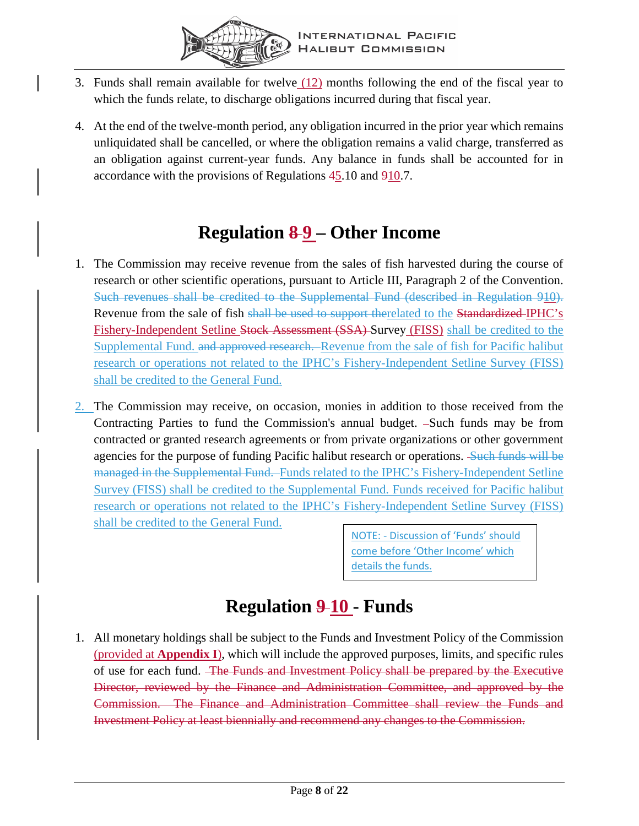

- 3. Funds shall remain available for twelve (12) months following the end of the fiscal year to which the funds relate, to discharge obligations incurred during that fiscal year.
- 4. At the end of the twelve-month period, any obligation incurred in the prior year which remains unliquidated shall be cancelled, or where the obligation remains a valid charge, transferred as an obligation against current-year funds. Any balance in funds shall be accounted for in accordance with the provisions of Regulations  $45.10$  and  $910.7$ .

### **Regulation 8 9 – Other Income**

- <span id="page-9-0"></span>1. The Commission may receive revenue from the sales of fish harvested during the course of research or other scientific operations, pursuant to Article III, Paragraph 2 of the Convention. Such revenues shall be credited to the Supplemental Fund (described in Regulation 910). Revenue from the sale of fish shall be used to support therelated to the Standardized IPHC's Fishery-Independent Setline Stock Assessment (SSA) Survey (FISS) shall be credited to the Supplemental Fund. and approved research. Revenue from the sale of fish for Pacific halibut research or operations not related to the IPHC's Fishery-Independent Setline Survey (FISS) shall be credited to the General Fund.
- 2. The Commission may receive, on occasion, monies in addition to those received from the Contracting Parties to fund the Commission's annual budget. -Such funds may be from contracted or granted research agreements or from private organizations or other government agencies for the purpose of funding Pacific halibut research or operations. Such funds will be managed in the Supplemental Fund. Funds related to the IPHC's Fishery-Independent Setline Survey (FISS) shall be credited to the Supplemental Fund. Funds received for Pacific halibut research or operations not related to the IPHC's Fishery-Independent Setline Survey (FISS) shall be credited to the General Fund.

NOTE: - Discussion of 'Funds' should come before 'Other Income' which details the funds.

# **Regulation 9 10 - Funds**

<span id="page-9-1"></span>1. All monetary holdings shall be subject to the Funds and Investment Policy of the Commission (provided at **[Appendix I](#page-16-0)**), which will include the approved purposes, limits, and specific rules of use for each fund. The Funds and Investment Policy shall be prepared by the Executive Director, reviewed by the Finance and Administration Committee, and approved by the Commission. The Finance and Administration Committee shall review the Funds and Investment Policy at least biennially and recommend any changes to the Commission.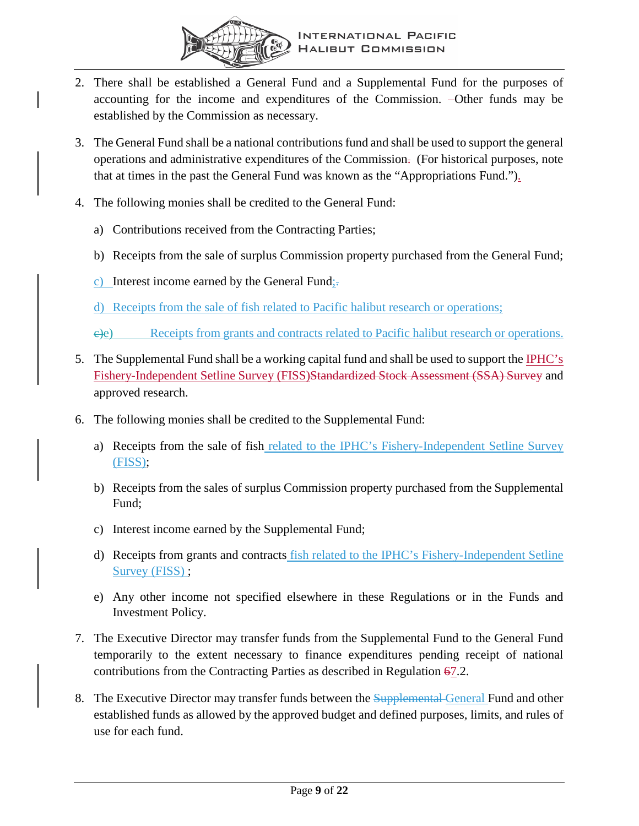

- 2. There shall be established a General Fund and a Supplemental Fund for the purposes of accounting for the income and expenditures of the Commission. Other funds may be established by the Commission as necessary.
- 3. The General Fund shall be a national contributions fund and shall be used to support the general operations and administrative expenditures of the Commission. (For historical purposes, note that at times in the past the General Fund was known as the "Appropriations Fund.").
- 4. The following monies shall be credited to the General Fund:
	- a) Contributions received from the Contracting Parties;
	- b) Receipts from the sale of surplus Commission property purchased from the General Fund;
	- c) Interest income earned by the General Fund; $\overline{\cdot}$ .

d) Receipts from the sale of fish related to Pacific halibut research or operations;

c)e) Receipts from grants and contracts related to Pacific halibut research or operations.

- 5. The Supplemental Fund shall be a working capital fund and shall be used to support the IPHC's Fishery-Independent Setline Survey (FISS)Standardized Stock Assessment (SSA) Survey and approved research.
- 6. The following monies shall be credited to the Supplemental Fund:
	- a) Receipts from the sale of fish related to the IPHC's Fishery-Independent Setline Survey (FISS);
	- b) Receipts from the sales of surplus Commission property purchased from the Supplemental Fund;
	- c) Interest income earned by the Supplemental Fund;
	- d) Receipts from grants and contracts fish related to the IPHC's Fishery-Independent Setline Survey (FISS);
	- e) Any other income not specified elsewhere in these Regulations or in the Funds and Investment Policy.
- 7. The Executive Director may transfer funds from the Supplemental Fund to the General Fund temporarily to the extent necessary to finance expenditures pending receipt of national contributions from the Contracting Parties as described in Regulation  $67.2$ .
- 8. The Executive Director may transfer funds between the Supplemental General Fund and other established funds as allowed by the approved budget and defined purposes, limits, and rules of use for each fund.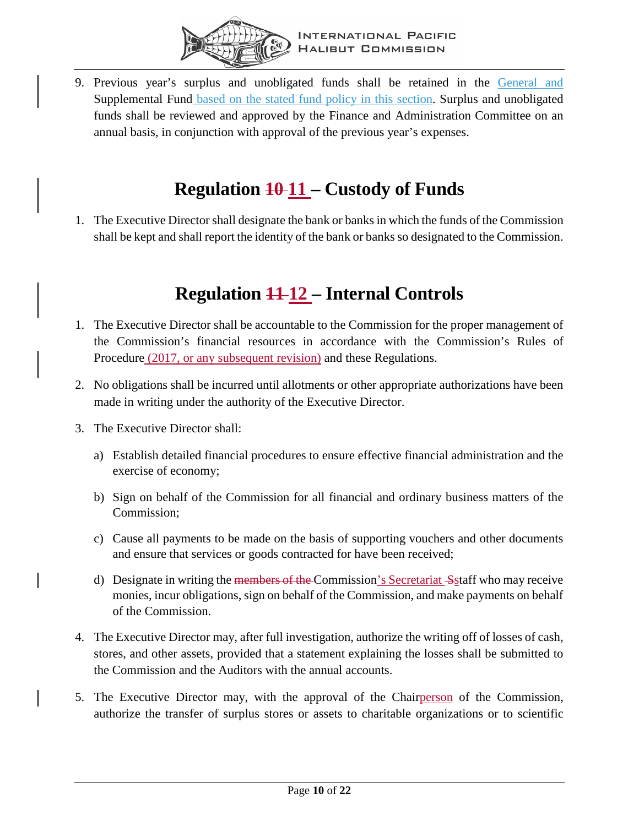

9. Previous year's surplus and unobligated funds shall be retained in the General and Supplemental Fund based on the stated fund policy in this section. Surplus and unobligated funds shall be reviewed and approved by the Finance and Administration Committee on an annual basis, in conjunction with approval of the previous year's expenses.

## **Regulation 10 11 – Custody of Funds**

<span id="page-11-0"></span>1. The Executive Director shall designate the bank or banks in which the funds of the Commission shall be kept and shall report the identity of the bank or banks so designated to the Commission.

### **Regulation 11 12 – Internal Controls**

- <span id="page-11-1"></span>1. The Executive Director shall be accountable to the Commission for the proper management of the Commission's financial resources in accordance with the Commission's Rules of Procedure (2017, or any subsequent revision) and these Regulations.
- 2. No obligations shall be incurred until allotments or other appropriate authorizations have been made in writing under the authority of the Executive Director.
- 3. The Executive Director shall:
	- a) Establish detailed financial procedures to ensure effective financial administration and the exercise of economy;
	- b) Sign on behalf of the Commission for all financial and ordinary business matters of the Commission;
	- c) Cause all payments to be made on the basis of supporting vouchers and other documents and ensure that services or goods contracted for have been received;
	- d) Designate in writing the <del>members of the C</del>ommission's Secretariat Staff who may receive monies, incur obligations, sign on behalf of the Commission, and make payments on behalf of the Commission.
- 4. The Executive Director may, after full investigation, authorize the writing off of losses of cash, stores, and other assets, provided that a statement explaining the losses shall be submitted to the Commission and the Auditors with the annual accounts.
- 5. The Executive Director may, with the approval of the Chairperson of the Commission, authorize the transfer of surplus stores or assets to charitable organizations or to scientific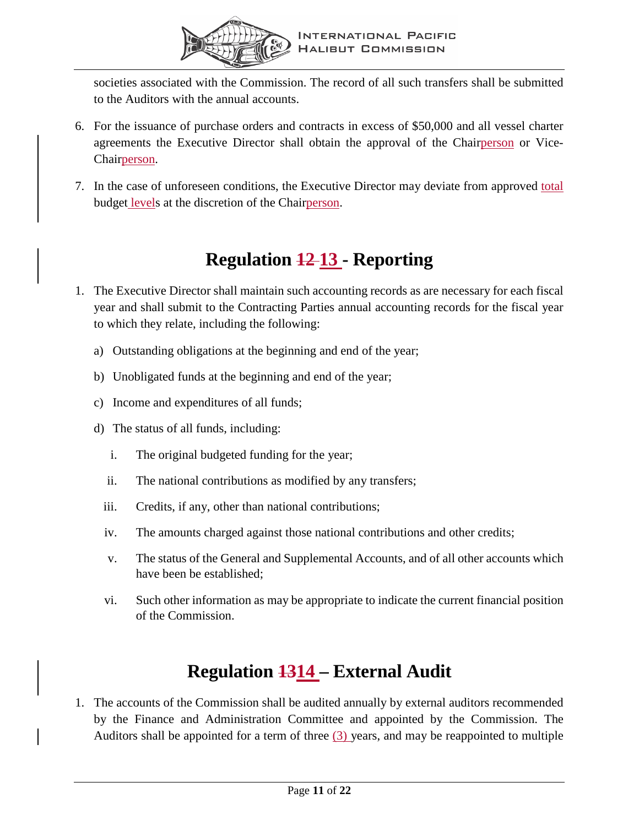

societies associated with the Commission. The record of all such transfers shall be submitted to the Auditors with the annual accounts.

- 6. For the issuance of purchase orders and contracts in excess of \$50,000 and all vessel charter agreements the Executive Director shall obtain the approval of the Chairperson or Vice-Chairperson.
- 7. In the case of unforeseen conditions, the Executive Director may deviate from approved total budget levels at the discretion of the Chairperson.

# **Regulation 12 13 - Reporting**

- <span id="page-12-0"></span>1. The Executive Director shall maintain such accounting records as are necessary for each fiscal year and shall submit to the Contracting Parties annual accounting records for the fiscal year to which they relate, including the following:
	- a) Outstanding obligations at the beginning and end of the year;
	- b) Unobligated funds at the beginning and end of the year;
	- c) Income and expenditures of all funds;
	- d) The status of all funds, including:
		- i. The original budgeted funding for the year;
		- ii. The national contributions as modified by any transfers;
		- iii. Credits, if any, other than national contributions;
		- iv. The amounts charged against those national contributions and other credits;
		- v. The status of the General and Supplemental Accounts, and of all other accounts which have been be established;
		- vi. Such other information as may be appropriate to indicate the current financial position of the Commission.

# **Regulation 1314 – External Audit**

<span id="page-12-1"></span>1. The accounts of the Commission shall be audited annually by external auditors recommended by the Finance and Administration Committee and appointed by the Commission. The Auditors shall be appointed for a term of three  $(3)$  years, and may be reappointed to multiple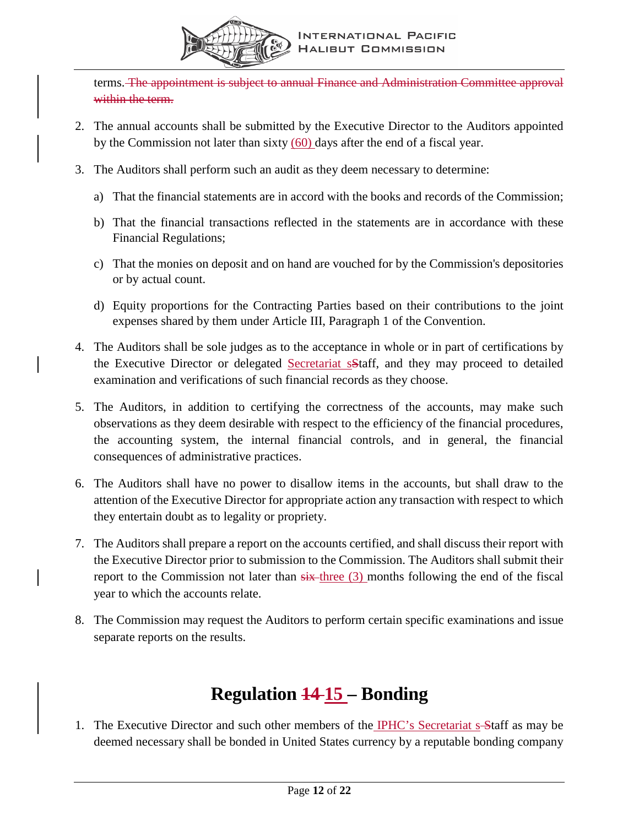

terms. The appointment is subject to annual Finance and Administration Committee approval within the term.

- 2. The annual accounts shall be submitted by the Executive Director to the Auditors appointed by the Commission not later than sixty (60) days after the end of a fiscal year.
- 3. The Auditors shall perform such an audit as they deem necessary to determine:
	- a) That the financial statements are in accord with the books and records of the Commission;
	- b) That the financial transactions reflected in the statements are in accordance with these Financial Regulations;
	- c) That the monies on deposit and on hand are vouched for by the Commission's depositories or by actual count.
	- d) Equity proportions for the Contracting Parties based on their contributions to the joint expenses shared by them under Article III, Paragraph 1 of the Convention.
- 4. The Auditors shall be sole judges as to the acceptance in whole or in part of certifications by the Executive Director or delegated Secretariat sStaff, and they may proceed to detailed examination and verifications of such financial records as they choose.
- 5. The Auditors, in addition to certifying the correctness of the accounts, may make such observations as they deem desirable with respect to the efficiency of the financial procedures, the accounting system, the internal financial controls, and in general, the financial consequences of administrative practices.
- 6. The Auditors shall have no power to disallow items in the accounts, but shall draw to the attention of the Executive Director for appropriate action any transaction with respect to which they entertain doubt as to legality or propriety.
- 7. The Auditors shall prepare a report on the accounts certified, and shall discuss their report with the Executive Director prior to submission to the Commission. The Auditors shall submit their report to the Commission not later than  $s$ ix-three  $(3)$  months following the end of the fiscal year to which the accounts relate.
- 8. The Commission may request the Auditors to perform certain specific examinations and issue separate reports on the results.

# **Regulation 14 15 – Bonding**

<span id="page-13-0"></span>1. The Executive Director and such other members of the IPHC's Secretariat s-Staff as may be deemed necessary shall be bonded in United States currency by a reputable bonding company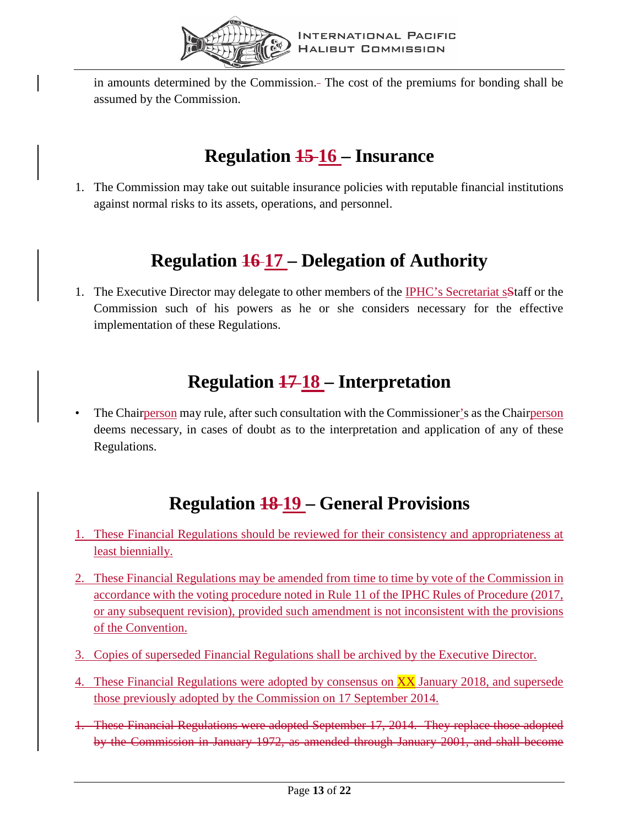

in amounts determined by the Commission. The cost of the premiums for bonding shall be assumed by the Commission.

# **Regulation 15 16 – Insurance**

<span id="page-14-0"></span>1. The Commission may take out suitable insurance policies with reputable financial institutions against normal risks to its assets, operations, and personnel.

# **Regulation 16 17 – Delegation of Authority**

<span id="page-14-1"></span>1. The Executive Director may delegate to other members of the **IPHC**'s Secretariat s<sup>5</sup>taff or the Commission such of his powers as he or she considers necessary for the effective implementation of these Regulations.

# **Regulation 17 18 – Interpretation**

<span id="page-14-2"></span>• The Chairperson may rule, after such consultation with the Commissioner's as the Chairperson deems necessary, in cases of doubt as to the interpretation and application of any of these Regulations.

# **Regulation 18 19 – General Provisions**

- <span id="page-14-3"></span>1. These Financial Regulations should be reviewed for their consistency and appropriateness at least biennially.
- 2. These Financial Regulations may be amended from time to time by vote of the Commission in accordance with the voting procedure noted in Rule 11 of the IPHC Rules of Procedure (2017, or any subsequent revision), provided such amendment is not inconsistent with the provisions of the Convention.
- 3. Copies of superseded Financial Regulations shall be archived by the Executive Director.
- 4. These Financial Regulations were adopted by consensus on XX January 2018, and supersede those previously adopted by the Commission on 17 September 2014.
- 1. These Financial Regulations were adopted September 17, 2014. They replace those adopted by the Commission in January 1972, as amended through January 2001, and shall become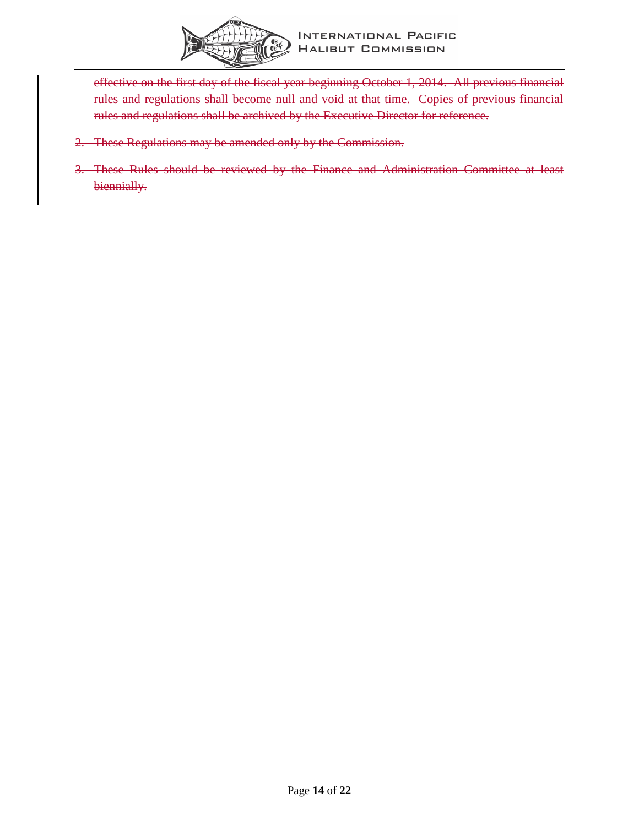

effective on the first day of the fiscal year beginning October 1, 2014. All previous financial rules and regulations shall become null and void at that time. Copies of previous financial rules and regulations shall be archived by the Executive Director for reference.

- 2. These Regulations may be amended only by the Commission.
- 3. These Rules should be reviewed by the Finance and Administration Committee at least biennially.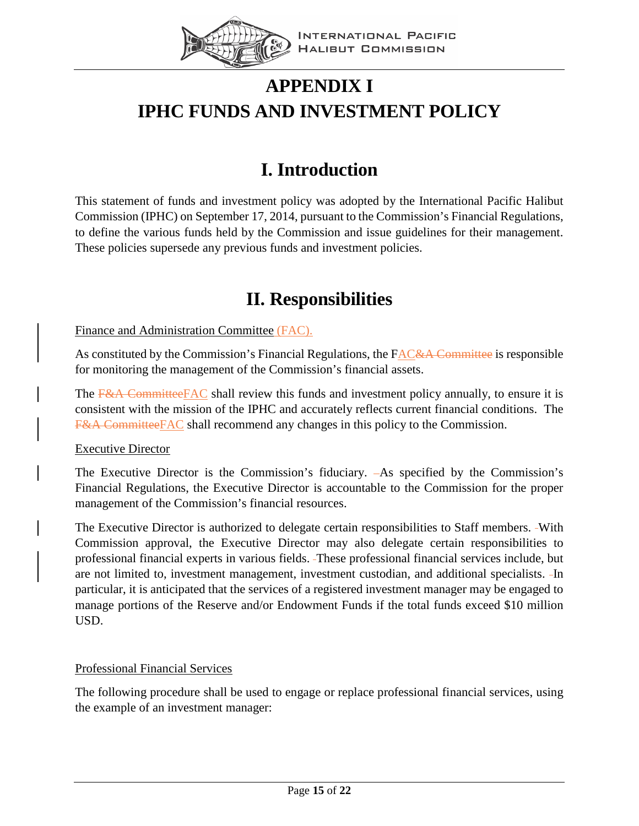

# <span id="page-16-0"></span>**APPENDIX I IPHC FUNDS AND INVESTMENT POLICY**

# **I. Introduction**

<span id="page-16-1"></span>This statement of funds and investment policy was adopted by the International Pacific Halibut Commission (IPHC) on September 17, 2014, pursuant to the Commission's Financial Regulations, to define the various funds held by the Commission and issue guidelines for their management. These policies supersede any previous funds and investment policies.

### **II. Responsibilities**

#### <span id="page-16-2"></span>Finance and Administration Committee (FAC).

As constituted by the Commission's Financial Regulations, the FAC&A Committee is responsible for monitoring the management of the Commission's financial assets.

The F&A CommitteeFAC shall review this funds and investment policy annually, to ensure it is consistent with the mission of the IPHC and accurately reflects current financial conditions. The F&A CommitteeFAC shall recommend any changes in this policy to the Commission.

#### Executive Director

The Executive Director is the Commission's fiduciary.  $-As$  specified by the Commission's Financial Regulations, the Executive Director is accountable to the Commission for the proper management of the Commission's financial resources.

The Executive Director is authorized to delegate certain responsibilities to Staff members. With Commission approval, the Executive Director may also delegate certain responsibilities to professional financial experts in various fields. These professional financial services include, but are not limited to, investment management, investment custodian, and additional specialists. In particular, it is anticipated that the services of a registered investment manager may be engaged to manage portions of the Reserve and/or Endowment Funds if the total funds exceed \$10 million USD.

#### Professional Financial Services

The following procedure shall be used to engage or replace professional financial services, using the example of an investment manager: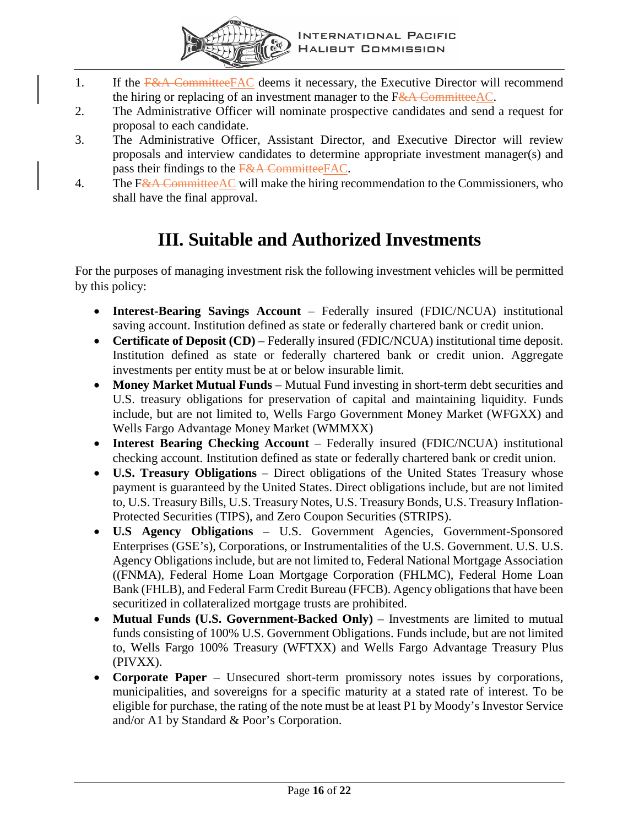

- 1. If the F&A CommitteeFAC deems it necessary, the Executive Director will recommend the hiring or replacing of an investment manager to the  $F&A$  Committee AC.
- 2. The Administrative Officer will nominate prospective candidates and send a request for proposal to each candidate.
- 3. The Administrative Officer, Assistant Director, and Executive Director will review proposals and interview candidates to determine appropriate investment manager(s) and pass their findings to the F&A CommitteeFAC.
- 4. The F&A CommitteeAC will make the hiring recommendation to the Commissioners, who shall have the final approval.

### **III. Suitable and Authorized Investments**

<span id="page-17-0"></span>For the purposes of managing investment risk the following investment vehicles will be permitted by this policy:

- **Interest-Bearing Savings Account** Federally insured (FDIC/NCUA) institutional saving account. Institution defined as state or federally chartered bank or credit union.
- **Certificate of Deposit (CD)** Federally insured (FDIC/NCUA) institutional time deposit. Institution defined as state or federally chartered bank or credit union. Aggregate investments per entity must be at or below insurable limit.
- **Money Market Mutual Funds** Mutual Fund investing in short-term debt securities and U.S. treasury obligations for preservation of capital and maintaining liquidity. Funds include, but are not limited to, Wells Fargo Government Money Market (WFGXX) and Wells Fargo Advantage Money Market (WMMXX)
- **Interest Bearing Checking Account** Federally insured (FDIC/NCUA) institutional checking account. Institution defined as state or federally chartered bank or credit union.
- **U.S. Treasury Obligations** Direct obligations of the United States Treasury whose payment is guaranteed by the United States. Direct obligations include, but are not limited to, U.S. Treasury Bills, U.S. Treasury Notes, U.S. Treasury Bonds, U.S. Treasury Inflation-Protected Securities (TIPS), and Zero Coupon Securities (STRIPS).
- **U.S Agency Obligations** U.S. Government Agencies, Government-Sponsored Enterprises (GSE's), Corporations, or Instrumentalities of the U.S. Government. U.S. U.S. Agency Obligations include, but are not limited to, Federal National Mortgage Association ((FNMA), Federal Home Loan Mortgage Corporation (FHLMC), Federal Home Loan Bank (FHLB), and Federal Farm Credit Bureau (FFCB). Agency obligations that have been securitized in collateralized mortgage trusts are prohibited.
- **Mutual Funds (U.S. Government-Backed Only)** Investments are limited to mutual funds consisting of 100% U.S. Government Obligations. Funds include, but are not limited to, Wells Fargo 100% Treasury (WFTXX) and Wells Fargo Advantage Treasury Plus (PIVXX).
- **Corporate Paper** Unsecured short-term promissory notes issues by corporations, municipalities, and sovereigns for a specific maturity at a stated rate of interest. To be eligible for purchase, the rating of the note must be at least P1 by Moody's Investor Service and/or A1 by Standard & Poor's Corporation.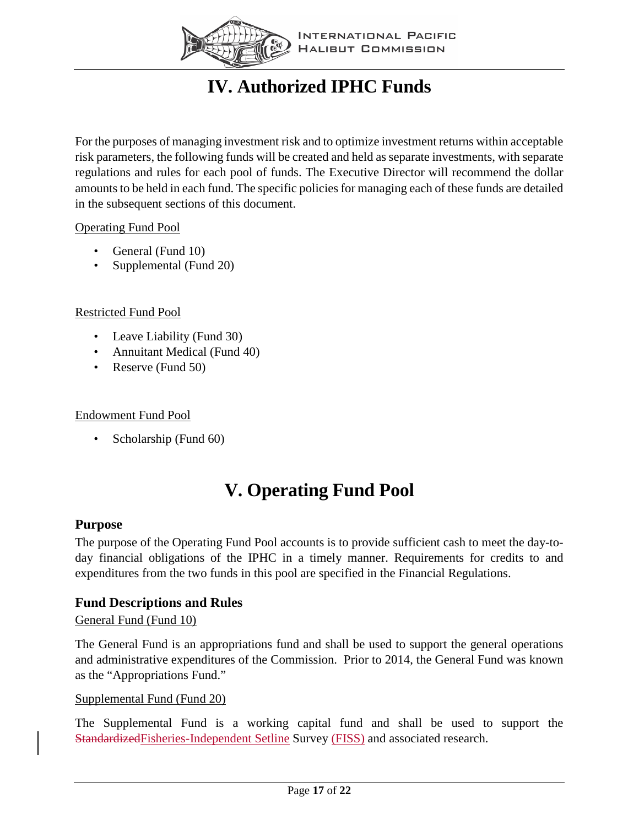

# **IV. Authorized IPHC Funds**

<span id="page-18-0"></span>For the purposes of managing investment risk and to optimize investment returns within acceptable risk parameters, the following funds will be created and held as separate investments, with separate regulations and rules for each pool of funds. The Executive Director will recommend the dollar amounts to be held in each fund. The specific policies for managing each of these funds are detailed in the subsequent sections of this document.

#### Operating Fund Pool

- General (Fund 10)
- Supplemental (Fund 20)

#### Restricted Fund Pool

- Leave Liability (Fund 30)
- Annuitant Medical (Fund 40)
- Reserve (Fund 50)

#### Endowment Fund Pool

• Scholarship (Fund 60)

### **V. Operating Fund Pool**

#### <span id="page-18-2"></span><span id="page-18-1"></span>**Purpose**

The purpose of the Operating Fund Pool accounts is to provide sufficient cash to meet the day-today financial obligations of the IPHC in a timely manner. Requirements for credits to and expenditures from the two funds in this pool are specified in the Financial Regulations.

#### <span id="page-18-3"></span>**Fund Descriptions and Rules**

#### General Fund (Fund 10)

The General Fund is an appropriations fund and shall be used to support the general operations and administrative expenditures of the Commission. Prior to 2014, the General Fund was known as the "Appropriations Fund."

#### Supplemental Fund (Fund 20)

The Supplemental Fund is a working capital fund and shall be used to support the StandardizedFisheries-Independent Setline Survey (FISS) and associated research.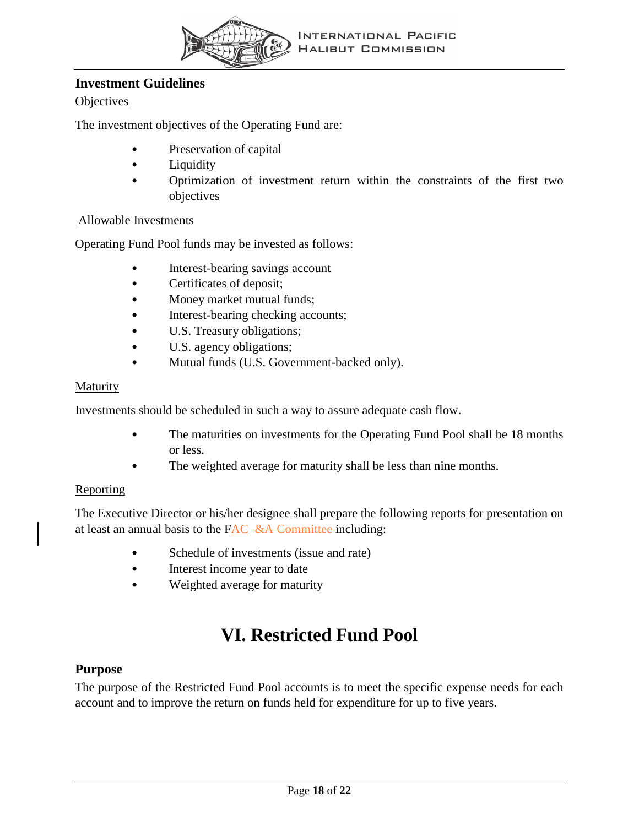

#### <span id="page-19-0"></span>**Investment Guidelines**

#### **Objectives**

The investment objectives of the Operating Fund are:

- Preservation of capital
- **Liquidity**
- Optimization of investment return within the constraints of the first two objectives

#### Allowable Investments

Operating Fund Pool funds may be invested as follows:

- Interest-bearing savings account
- Certificates of deposit;
- Money market mutual funds;
- Interest-bearing checking accounts;
- U.S. Treasury obligations;
- U.S. agency obligations;
- Mutual funds (U.S. Government-backed only).

#### Maturity

Investments should be scheduled in such a way to assure adequate cash flow.

- The maturities on investments for the Operating Fund Pool shall be 18 months or less.
- The weighted average for maturity shall be less than nine months.

#### Reporting

The Executive Director or his/her designee shall prepare the following reports for presentation on at least an annual basis to the FAC &A Committee including:

- Schedule of investments (issue and rate)
- Interest income year to date
- Weighted average for maturity

### **VI. Restricted Fund Pool**

#### <span id="page-19-2"></span><span id="page-19-1"></span>**Purpose**

The purpose of the Restricted Fund Pool accounts is to meet the specific expense needs for each account and to improve the return on funds held for expenditure for up to five years.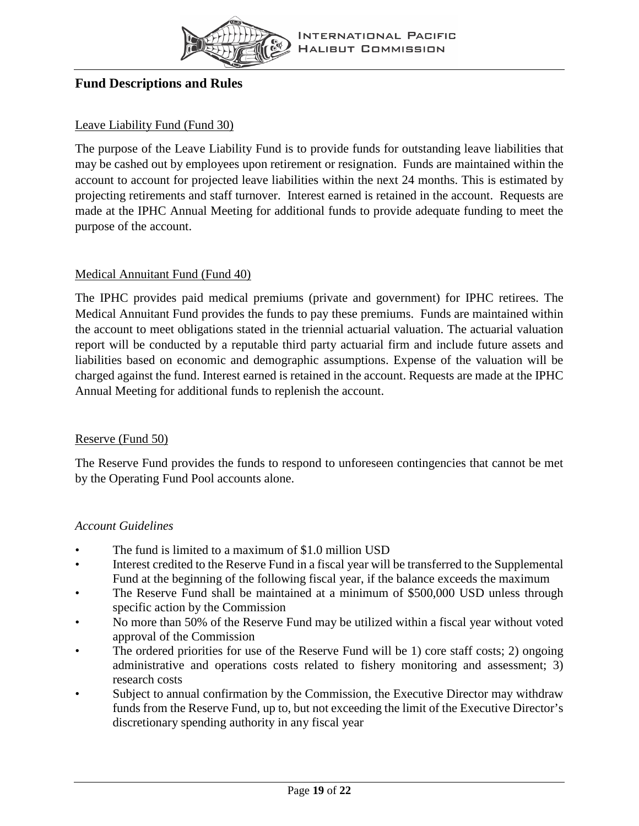

#### <span id="page-20-0"></span>**Fund Descriptions and Rules**

#### Leave Liability Fund (Fund 30)

The purpose of the Leave Liability Fund is to provide funds for outstanding leave liabilities that may be cashed out by employees upon retirement or resignation. Funds are maintained within the account to account for projected leave liabilities within the next 24 months. This is estimated by projecting retirements and staff turnover. Interest earned is retained in the account. Requests are made at the IPHC Annual Meeting for additional funds to provide adequate funding to meet the purpose of the account.

#### Medical Annuitant Fund (Fund 40)

The IPHC provides paid medical premiums (private and government) for IPHC retirees. The Medical Annuitant Fund provides the funds to pay these premiums. Funds are maintained within the account to meet obligations stated in the triennial actuarial valuation. The actuarial valuation report will be conducted by a reputable third party actuarial firm and include future assets and liabilities based on economic and demographic assumptions. Expense of the valuation will be charged against the fund. Interest earned is retained in the account. Requests are made at the IPHC Annual Meeting for additional funds to replenish the account.

#### Reserve (Fund 50)

The Reserve Fund provides the funds to respond to unforeseen contingencies that cannot be met by the Operating Fund Pool accounts alone.

#### *Account Guidelines*

- The fund is limited to a maximum of \$1.0 million USD
- Interest credited to the Reserve Fund in a fiscal year will be transferred to the Supplemental Fund at the beginning of the following fiscal year, if the balance exceeds the maximum
- The Reserve Fund shall be maintained at a minimum of \$500,000 USD unless through specific action by the Commission
- No more than 50% of the Reserve Fund may be utilized within a fiscal year without voted approval of the Commission
- The ordered priorities for use of the Reserve Fund will be 1) core staff costs; 2) ongoing administrative and operations costs related to fishery monitoring and assessment; 3) research costs
- Subject to annual confirmation by the Commission, the Executive Director may withdraw funds from the Reserve Fund, up to, but not exceeding the limit of the Executive Director's discretionary spending authority in any fiscal year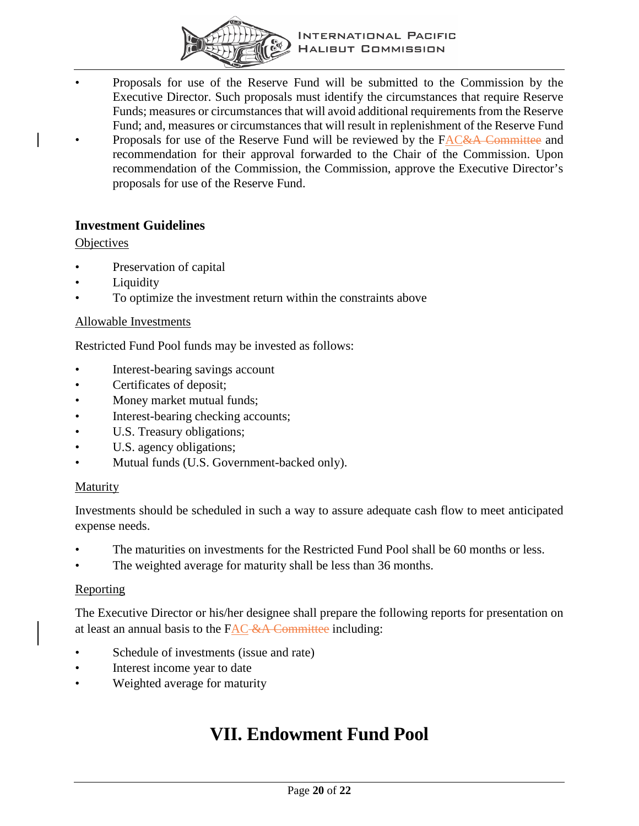

- Proposals for use of the Reserve Fund will be submitted to the Commission by the Executive Director. Such proposals must identify the circumstances that require Reserve Funds; measures or circumstances that will avoid additional requirements from the Reserve Fund; and, measures or circumstances that will result in replenishment of the Reserve Fund
- Proposals for use of the Reserve Fund will be reviewed by the FAC&A Committee and recommendation for their approval forwarded to the Chair of the Commission. Upon recommendation of the Commission, the Commission, approve the Executive Director's proposals for use of the Reserve Fund.

#### <span id="page-21-0"></span>**Investment Guidelines**

#### **Objectives**

- Preservation of capital
- Liquidity
- To optimize the investment return within the constraints above

#### Allowable Investments

Restricted Fund Pool funds may be invested as follows:

- Interest-bearing savings account
- Certificates of deposit;
- Money market mutual funds;
- Interest-bearing checking accounts;
- U.S. Treasury obligations;
- U.S. agency obligations;
- Mutual funds (U.S. Government-backed only).

#### Maturity

Investments should be scheduled in such a way to assure adequate cash flow to meet anticipated expense needs.

- The maturities on investments for the Restricted Fund Pool shall be 60 months or less.
- The weighted average for maturity shall be less than 36 months.

#### **Reporting**

The Executive Director or his/her designee shall prepare the following reports for presentation on at least an annual basis to the  $FAC$ -&A Committee including:

- Schedule of investments (issue and rate)
- Interest income year to date
- <span id="page-21-1"></span>Weighted average for maturity

### **VII. Endowment Fund Pool**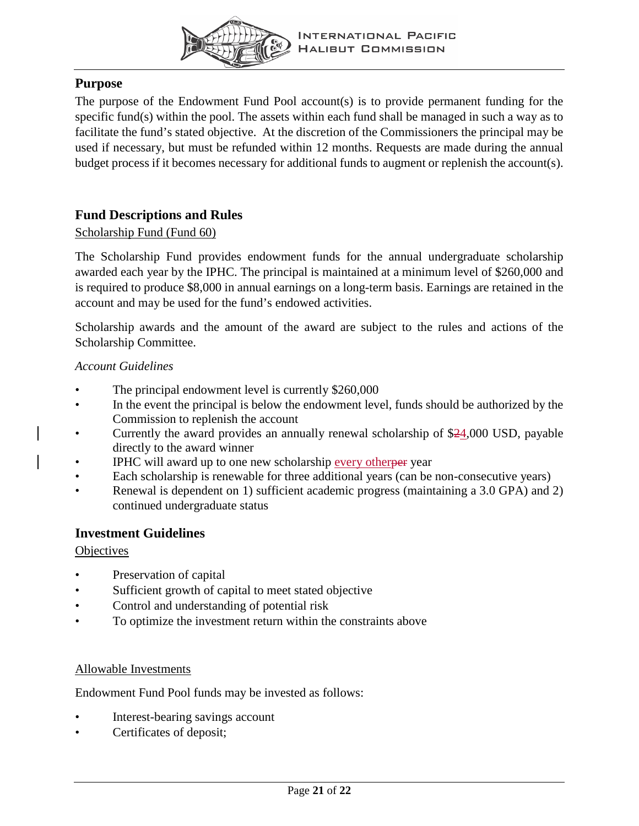

### <span id="page-22-0"></span>**Purpose**

The purpose of the Endowment Fund Pool account(s) is to provide permanent funding for the specific fund(s) within the pool. The assets within each fund shall be managed in such a way as to facilitate the fund's stated objective. At the discretion of the Commissioners the principal may be used if necessary, but must be refunded within 12 months. Requests are made during the annual budget process if it becomes necessary for additional funds to augment or replenish the account(s).

### <span id="page-22-1"></span>**Fund Descriptions and Rules**

#### Scholarship Fund (Fund 60)

The Scholarship Fund provides endowment funds for the annual undergraduate scholarship awarded each year by the IPHC. The principal is maintained at a minimum level of \$260,000 and is required to produce \$8,000 in annual earnings on a long-term basis. Earnings are retained in the account and may be used for the fund's endowed activities.

Scholarship awards and the amount of the award are subject to the rules and actions of the Scholarship Committee.

#### *Account Guidelines*

- The principal endowment level is currently \$260,000
- In the event the principal is below the endowment level, funds should be authorized by the Commission to replenish the account
- Currently the award provides an annually renewal scholarship of \$24,000 USD, payable directly to the award winner
- IPHC will award up to one new scholarship every otherper year
- Each scholarship is renewable for three additional years (can be non-consecutive years)
- Renewal is dependent on 1) sufficient academic progress (maintaining a 3.0 GPA) and 2) continued undergraduate status

#### <span id="page-22-2"></span>**Investment Guidelines**

#### **Objectives**

- Preservation of capital
- Sufficient growth of capital to meet stated objective
- Control and understanding of potential risk
- To optimize the investment return within the constraints above

#### Allowable Investments

Endowment Fund Pool funds may be invested as follows:

- Interest-bearing savings account
- Certificates of deposit;